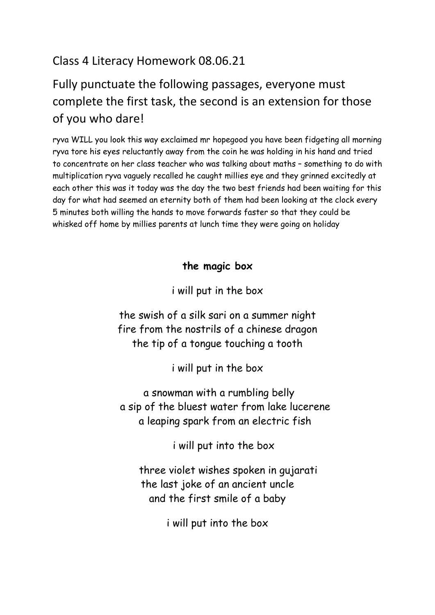## Class 4 Literacy Homework 08.06.21

## Fully punctuate the following passages, everyone must complete the first task, the second is an extension for those of you who dare!

ryva WILL you look this way exclaimed mr hopegood you have been fidgeting all morning ryva tore his eyes reluctantly away from the coin he was holding in his hand and tried to concentrate on her class teacher who was talking about maths – something to do with multiplication ryva vaguely recalled he caught millies eye and they grinned excitedly at each other this was it today was the day the two best friends had been waiting for this day for what had seemed an eternity both of them had been looking at the clock every 5 minutes both willing the hands to move forwards faster so that they could be whisked off home by millies parents at lunch time they were going on holiday

## **the magic box**

i will put in the box

the swish of a silk sari on a summer night fire from the nostrils of a chinese dragon the tip of a tongue touching a tooth

i will put in the box

a snowman with a rumbling belly a sip of the bluest water from lake lucerene a leaping spark from an electric fish

i will put into the box

 three violet wishes spoken in gujarati the last joke of an ancient uncle and the first smile of a baby

i will put into the box